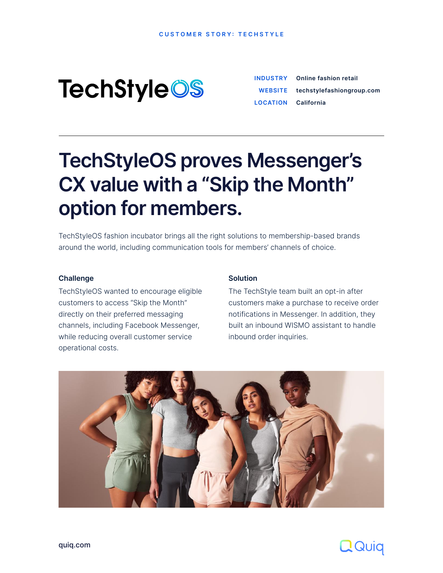**CUSTOMER STORY: TECHSTYLE** 

# **TechStyleOS**

[quiq.com](http://quiq.com)

|                            | <b>INDUSTRY</b> Online fashion retail |
|----------------------------|---------------------------------------|
|                            | WEBSITE techstylefashiongroup.com     |
| <b>LOCATION</b> California |                                       |

# **TechStyleOS proves Messenger's CX value with a "Skip the Month" option for members.**

TechStyleOS fashion incubator brings all the right solutions to membership-based brands around the world, including communication tools for members' channels of choice.

#### **Solution**

The TechStyle team built an opt-in after customers make a purchase to receive order notifications in Messenger. In addition, they built an inbound WISMO assistant to handle inbound order inquiries.





#### **Challenge**

TechStyleOS wanted to encourage eligible customers to access "Skip the Month" directly on their preferred messaging channels, including Facebook Messenger, while reducing overall customer service operational costs.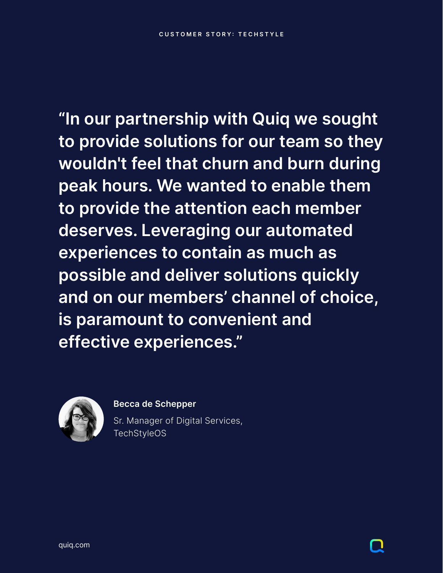[quiq.com](http://quiq.com)

**"In our partnership with Quiq we sought to provide solutions for our team so they wouldn't feel that churn and burn during peak hours. We wanted to enable them to provide the attention each member deserves. Leveraging our automated experiences to contain as much as possible and deliver solutions quickly and on our members' channel of choice, is paramount to convenient and** 

> Sr. Manager of Digital Services, TechStyleOS



# **effective experiences."**



### **Becca de Schepper**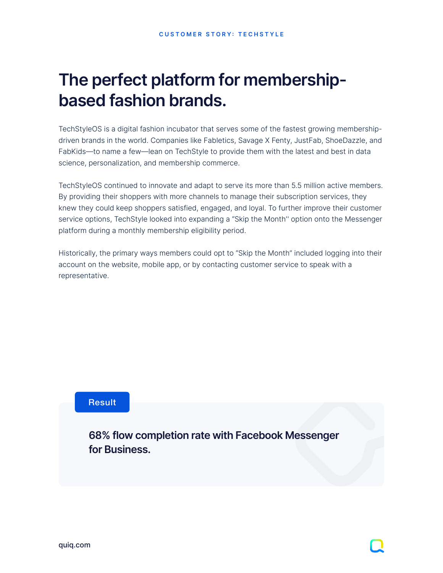

# **The perfect platform for membershipbased fashion brands.**

TechStyleOS is a digital fashion incubator that serves some of the fastest growing membershipdriven brands in the world. Companies like Fabletics, Savage X Fenty, JustFab, ShoeDazzle, and FabKids—to name a few—lean on TechStyle to provide them with the latest and best in data science, personalization, and membership commerce.

TechStyleOS continued to innovate and adapt to serve its more than 5.5 million active members. By providing their shoppers with more channels to manage their subscription services, they knew they could keep shoppers satisfied, engaged, and loyal. To further improve their customer service options, TechStyle looked into expanding a "Skip the Month'' option onto the Messenger platform during a monthly membership eligibility period.

Historically, the primary ways members could opt to "Skip the Month" included logging into their account on the website, mobile app, or by contacting customer service to speak with a representative.

### **68% flow completion rate with Facebook Messenger for Business.**

### Result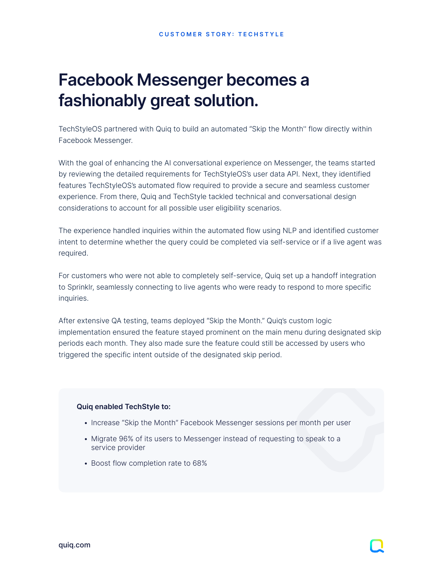# **Facebook Messenger becomes a fashionably great solution.**

TechStyleOS partnered with Quiq to build an automated "Skip the Month'' flow directly within Facebook Messenger.

With the goal of enhancing the AI conversational experience on Messenger, the teams started by reviewing the detailed requirements for TechStyleOS's user data API. Next, they identified features TechStyleOS's automated flow required to provide a secure and seamless customer experience. From there, Quiq and TechStyle tackled technical and conversational design considerations to account for all possible user eligibility scenarios.

The experience handled inquiries within the automated flow using NLP and identified customer intent to determine whether the query could be completed via self-service or if a live agent was required.

For customers who were not able to completely self-service, Quiq set up a handoff integration to Sprinklr, seamlessly connecting to live agents who were ready to respond to more specific inquiries.

After extensive QA testing, teams deployed "Skip the Month." Quiq's custom logic

implementation ensured the feature stayed prominent on the main menu during designated skip periods each month. They also made sure the feature could still be accessed by users who triggered the specific intent outside of the designated skip period.

#### **Quiq enabled TechStyle to:**

- Increase "Skip the Month" Facebook Messenger sessions per month per user
- Migrate 96% of its users to Messenger instead of requesting to speak to a service provider
- Boost flow completion rate to 68%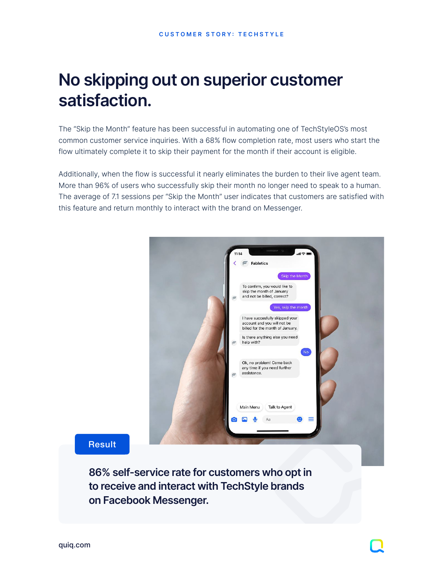[quiq.com](http://quiq.com)

# **No skipping out on superior customer satisfaction.**

The "Skip the Month" feature has been successful in automating one of TechStyleOS's most common customer service inquiries. With a 68% flow completion rate, most users who start the flow ultimately complete it to skip their payment for the month if their account is eligible.

Additionally, when the flow is successful it nearly eliminates the burden to their live agent team. More than 96% of users who successfully skip their month no longer need to speak to a human. The average of 7.1 sessions per "Skip the Month" user indicates that customers are satisfied with this feature and return monthly to interact with the brand on Messenger.



**86% self-service rate for customers who opt in to receive and interact with TechStyle brands on Facebook Messenger.**

### Result